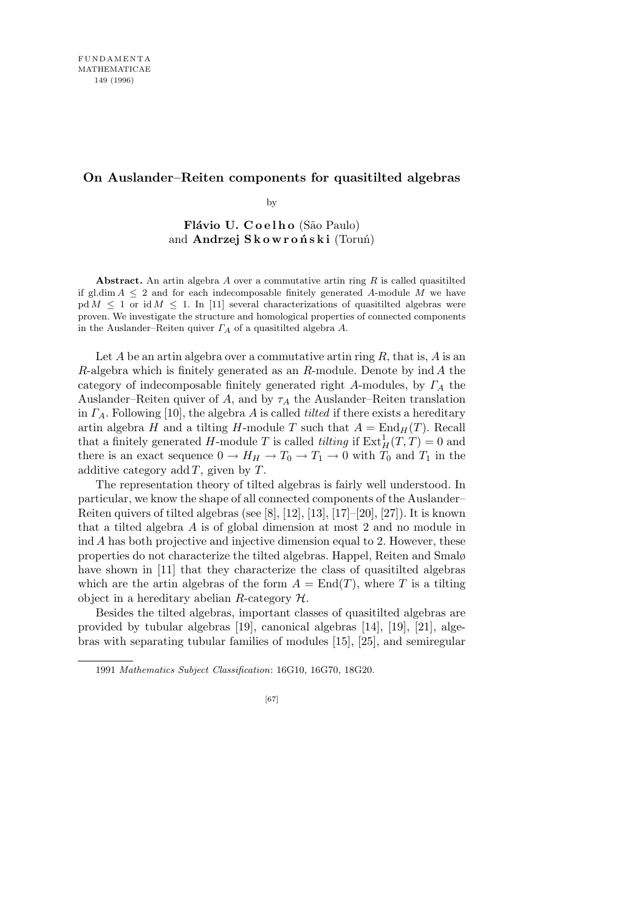# **On Auslander–Reiten components for quasitilted algebras**

by

Flávio U. Coelho (São Paulo) and **Andrzej S k o w r o ń s k i** (Toruń)

**Abstract.** An artin algebra *A* over a commutative artin ring *R* is called quasitilted if gl.dim  $A \leq 2$  and for each indecomposable finitely generated A-module M we have  $pd M \leq 1$  or  $id M \leq 1$ . In [11] several characterizations of quasitilted algebras were proven. We investigate the structure and homological properties of connected components in the Auslander–Reiten quiver *Γ<sup>A</sup>* of a quasitilted algebra *A*.

Let *A* be an artin algebra over a commutative artin ring *R*, that is, *A* is an *R*-algebra which is finitely generated as an *R*-module. Denote by ind *A* the category of indecomposable finitely generated right *A*-modules, by *Γ<sup>A</sup>* the Auslander–Reiten quiver of *A*, and by  $\tau_A$  the Auslander–Reiten translation in *ΓA*. Following [10], the algebra *A* is called *tilted* if there exists a hereditary artin algebra *H* and a tilting *H*-module *T* such that  $A = \text{End}_{H}(T)$ . Recall that a finitely generated *H*-module *T* is called *tilting* if  $\text{Ext}^1_H(T, T) = 0$  and there is an exact sequence  $0 \to H_H \to T_0 \to T_1 \to 0$  with  $T_0$  and  $T_1$  in the additive category add *T*, given by *T*.

The representation theory of tilted algebras is fairly well understood. In particular, we know the shape of all connected components of the Auslander– Reiten quivers of tilted algebras (see [8], [12], [13], [17]–[20], [27]). It is known that a tilted algebra *A* is of global dimension at most 2 and no module in ind *A* has both projective and injective dimension equal to 2. However, these properties do not characterize the tilted algebras. Happel, Reiten and Smalø have shown in [11] that they characterize the class of quasitilted algebras which are the artin algebras of the form  $A = \text{End}(T)$ , where T is a tilting object in a hereditary abelian *R*-category *H*.

Besides the tilted algebras, important classes of quasitilted algebras are provided by tubular algebras [19], canonical algebras [14], [19], [21], algebras with separating tubular families of modules [15], [25], and semiregular

<sup>1991</sup> *Mathematics Subject Classification*: 16G10, 16G70, 18G20.

<sup>[67]</sup>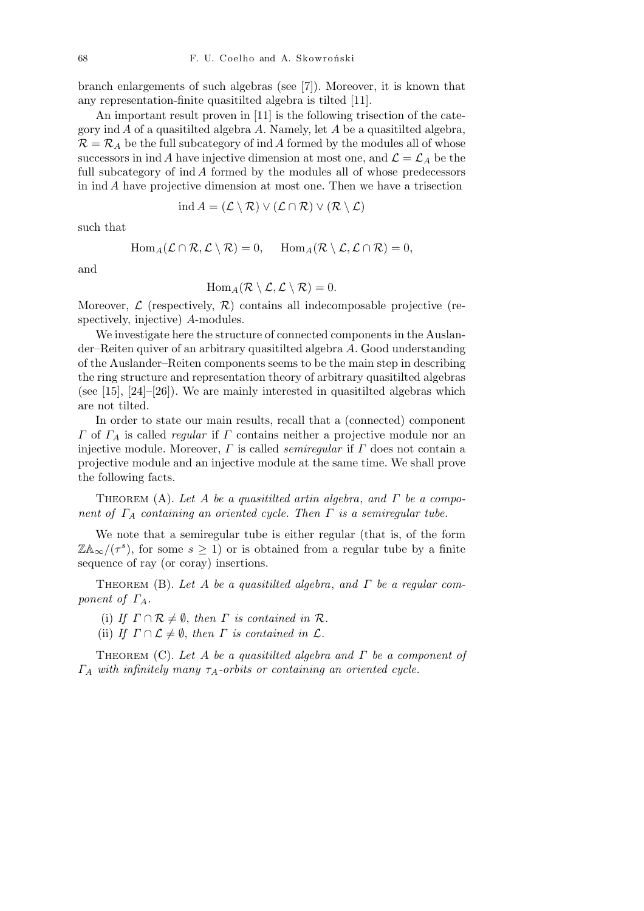branch enlargements of such algebras (see [7]). Moreover, it is known that any representation-finite quasitilted algebra is tilted [11].

An important result proven in [11] is the following trisection of the category ind *A* of a quasitilted algebra *A*. Namely, let *A* be a quasitilted algebra,  $\mathcal{R} = \mathcal{R}_A$  be the full subcategory of ind *A* formed by the modules all of whose successors in ind *A* have injective dimension at most one, and  $\mathcal{L} = \mathcal{L}_A$  be the full subcategory of ind *A* formed by the modules all of whose predecessors in ind *A* have projective dimension at most one. Then we have a trisection

$$
\text{ind}\,A = (\mathcal{L}\setminus\mathcal{R}) \vee (\mathcal{L}\cap\mathcal{R}) \vee (\mathcal{R}\setminus\mathcal{L})
$$

such that

$$
\text{Hom}_A(\mathcal{L} \cap \mathcal{R}, \mathcal{L} \setminus \mathcal{R}) = 0, \quad \text{Hom}_A(\mathcal{R} \setminus \mathcal{L}, \mathcal{L} \cap \mathcal{R}) = 0,
$$

and

$$
\text{Hom}_A(\mathcal{R}\setminus\mathcal{L},\mathcal{L}\setminus\mathcal{R})=0.
$$

Moreover,  $\mathcal{L}$  (respectively,  $\mathcal{R}$ ) contains all indecomposable projective (respectively, injective) *A*-modules.

We investigate here the structure of connected components in the Auslander–Reiten quiver of an arbitrary quasitilted algebra *A*. Good understanding of the Auslander–Reiten components seems to be the main step in describing the ring structure and representation theory of arbitrary quasitilted algebras (see  $[15]$ ,  $[24]-[26]$ ). We are mainly interested in quasitilted algebras which are not tilted.

In order to state our main results, recall that a (connected) component *Γ* of *Γ<sup>A</sup>* is called *regular* if *Γ* contains neither a projective module nor an injective module. Moreover, *Γ* is called *semiregular* if *Γ* does not contain a projective module and an injective module at the same time. We shall prove the following facts.

Theorem (A). *Let A be a quasitilted artin algebra*, *and Γ be a component of Γ<sup>A</sup> containing an oriented cycle. Then Γ is a semiregular tube.*

We note that a semiregular tube is either regular (that is, of the form  $\mathbb{Z} \mathbb{A}_{\infty} / (\tau^s)$ , for some  $s \geq 1$ ) or is obtained from a regular tube by a finite sequence of ray (or coray) insertions.

Theorem (B). *Let A be a quasitilted algebra*, *and Γ be a regular component of*  $\Gamma_A$ *.* 

(i) *If*  $\Gamma \cap \mathcal{R} \neq \emptyset$ , *then*  $\Gamma$  *is contained in*  $\mathcal{R}$ *.* 

(ii) *If*  $\Gamma \cap \mathcal{L} \neq \emptyset$ , *then*  $\Gamma$  *is contained in*  $\mathcal{L}$ *.* 

Theorem (C). *Let A be a quasitilted algebra and Γ be a component of Γ<sup>A</sup> with infinitely many τA-orbits or containing an oriented cycle.*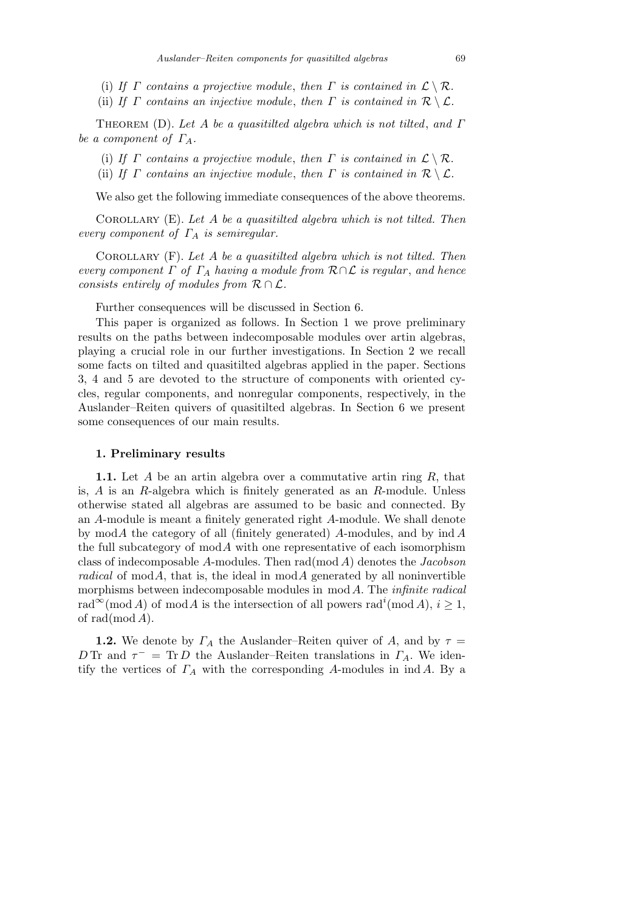- (i) If  $\Gamma$  *contains a projective module, then*  $\Gamma$  *is contained in*  $\mathcal{L} \setminus \mathcal{R}$ *.*
- (ii) *If Γ contains an injective module, then Γ is contained in*  $\mathcal{R} \setminus \mathcal{L}$ *.*

Theorem (D). *Let A be a quasitilted algebra which is not tilted*, *and Γ be a component of*  $\Gamma_A$ *.* 

- (i) *If Γ contains a projective module, then Γ is contained in*  $\mathcal{L} \setminus \mathcal{R}$ *.*
- (ii) *If*  $\Gamma$  *contains an injective module, then*  $\Gamma$  *is contained in*  $\mathcal{R} \setminus \mathcal{L}$ *.*

We also get the following immediate consequences of the above theorems.

Corollary (E). *Let A be a quasitilted algebra which is not tilted. Then every component of Γ<sup>A</sup> is semiregular.*

Corollary (F). *Let A be a quasitilted algebra which is not tilted. Then every component*  $\Gamma$  *of*  $\Gamma_A$  *having a module from*  $\mathcal{R} \cap \mathcal{L}$  *is regular, and hence consists entirely of modules from R ∩ L.*

Further consequences will be discussed in Section 6.

This paper is organized as follows. In Section 1 we prove preliminary results on the paths between indecomposable modules over artin algebras, playing a crucial role in our further investigations. In Section 2 we recall some facts on tilted and quasitilted algebras applied in the paper. Sections 3, 4 and 5 are devoted to the structure of components with oriented cycles, regular components, and nonregular components, respectively, in the Auslander–Reiten quivers of quasitilted algebras. In Section 6 we present some consequences of our main results.

## **1. Preliminary results**

**1.1.** Let *A* be an artin algebra over a commutative artin ring *R*, that is, *A* is an *R*-algebra which is finitely generated as an *R*-module. Unless otherwise stated all algebras are assumed to be basic and connected. By an *A*-module is meant a finitely generated right *A*-module. We shall denote by mod*A* the category of all (finitely generated) *A*-modules, and by ind *A* the full subcategory of mod*A* with one representative of each isomorphism class of indecomposable *A*-modules. Then rad(mod *A*) denotes the *Jacobson radical* of mod $A$ , that is, the ideal in mod $A$  generated by all noninvertible morphisms between indecomposable modules in mod *A*. The *infinite radical*  $\text{rad}^{\infty}(\text{mod }A)$  of  $\text{mod }A$  is the intersection of all powers  $\text{rad}^{i}(\text{mod }A), i \geq 1$ , of rad(mod *A*).

**1.2.** We denote by  $\Gamma_A$  the Auslander–Reiten quiver of *A*, and by  $\tau =$ *D* Tr and  $\tau^-$  = Tr *D* the Auslander–Reiten translations in  $\Gamma_A$ . We identify the vertices of *Γ<sup>A</sup>* with the corresponding *A*-modules in ind *A*. By a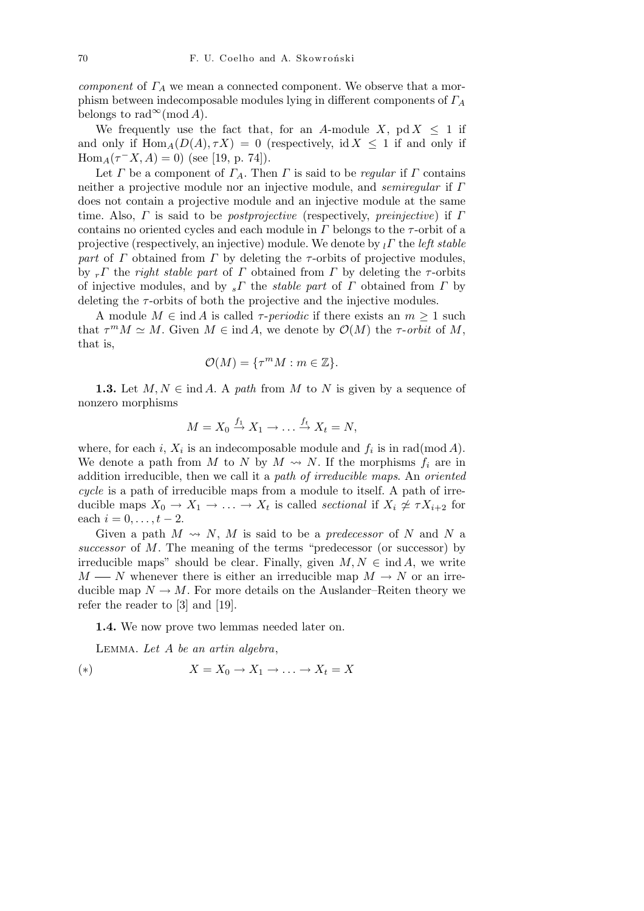*component* of *Γ<sup>A</sup>* we mean a connected component. We observe that a morphism between indecomposable modules lying in different components of *Γ<sup>A</sup>* belongs to rad<sup>∞</sup>(mod *A*).

We frequently use the fact that, for an *A*-module *X*, pd  $X \leq 1$  if and only if  $\text{Hom}_{A}(D(A), \tau X) = 0$  (respectively, id  $X \leq 1$  if and only if  $Hom_A(\tau^- X, A) = 0$ ) (see [19, p. 74]).

Let *Γ* be a component of  $\Gamma_A$ . Then *Γ* is said to be *regular* if *Γ* contains neither a projective module nor an injective module, and *semiregular* if *Γ* does not contain a projective module and an injective module at the same time. Also, *Γ* is said to be *postprojective* (respectively, *preinjective*) if *Γ* contains no oriented cycles and each module in  $\Gamma$  belongs to the  $\tau$ -orbit of a projective (respectively, an injective) module. We denote by *<sup>l</sup>Γ* the *left stable part* of *Γ* obtained from *Γ* by deleting the *τ*-orbits of projective modules, by *<sup>r</sup>Γ* the *right stable part* of *Γ* obtained from *Γ* by deleting the *τ* -orbits of injective modules, and by *<sup>s</sup>Γ* the *stable part* of *Γ* obtained from *Γ* by deleting the *τ* -orbits of both the projective and the injective modules.

A module  $M \in \text{ind } A$  is called *τ*-*periodic* if there exists an  $m \geq 1$  such that  $\tau^m M \simeq M$ . Given  $M \in \text{ind } A$ , we denote by  $\mathcal{O}(M)$  the  $\tau$ -*orbit* of M, that is,

$$
\mathcal{O}(M) = \{ \tau^m M : m \in \mathbb{Z} \}.
$$

**1.3.** Let  $M, N \in \text{ind } A$ . A *path* from  $M$  to  $N$  is given by a sequence of nonzero morphisms

$$
M = X_0 \stackrel{f_1}{\rightarrow} X_1 \rightarrow \dots \stackrel{f_t}{\rightarrow} X_t = N,
$$

where, for each *i*,  $X_i$  is an indecomposable module and  $f_i$  is in rad(mod  $A$ ). We denote a path from *M* to *N* by  $M \rightarrow N$ . If the morphisms  $f_i$  are in addition irreducible, then we call it a *path of irreducible maps*. An *oriented cycle* is a path of irreducible maps from a module to itself. A path of irreducible maps  $X_0 \to X_1 \to \ldots \to X_t$  is called *sectional* if  $X_i \not\cong \tau X_{i+2}$  for each  $i = 0, \ldots, t - 2$ .

Given a path  $M \rightsquigarrow N$ , M is said to be a *predecessor* of N and N a *successor* of *M*. The meaning of the terms "predecessor (or successor) by irreducible maps" should be clear. Finally, given  $M, N \in \text{ind } A$ , we write *M* — *N* whenever there is either an irreducible map  $M \rightarrow N$  or an irreducible map  $N \to M$ . For more details on the Auslander–Reiten theory we refer the reader to [3] and [19].

**1.4.** We now prove two lemmas needed later on.

Lemma. *Let A be an artin algebra*,

$$
(*) \t\t X = X_0 \to X_1 \to \dots \to X_t = X
$$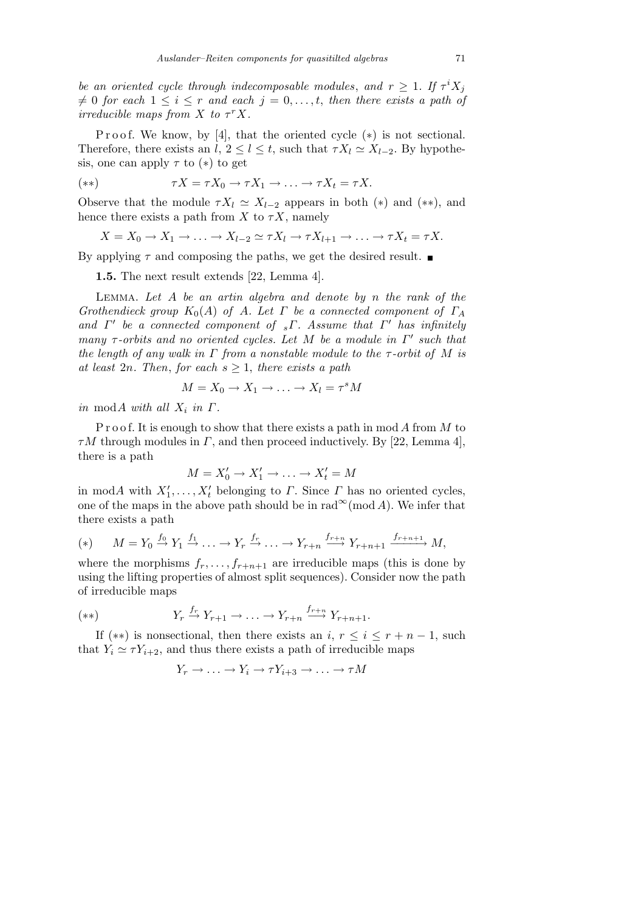*be an oriented cycle through indecomposable modules, and*  $r \geq 1$ . If  $\tau^{i} X_{j}$  $f \neq 0$  *for each*  $1 \leq i \leq r$  *and each*  $j = 0, \ldots, t$ , *then there exists a path of irreducible maps from*  $X$  *to*  $\tau$ <sup>*r*</sup> $X$ *.* 

P r o o f. We know, by [4], that the oriented cycle  $(*)$  is not sectional. Therefore, there exists an *l*,  $2 \leq l \leq t$ , such that  $\tau X_l \simeq X_{l-2}$ . By hypothesis, one can apply  $\tau$  to  $(*)$  to get

$$
(**) \qquad \qquad \tau X = \tau X_0 \to \tau X_1 \to \ldots \to \tau X_t = \tau X.
$$

Observe that the module  $\tau X_l \simeq X_{l-2}$  appears in both (\*) and (\*\*), and hence there exists a path from *X* to  $\tau X$ , namely

$$
X = X_0 \to X_1 \to \ldots \to X_{l-2} \simeq \tau X_l \to \tau X_{l+1} \to \ldots \to \tau X_t = \tau X.
$$

By applying  $\tau$  and composing the paths, we get the desired result.

**1.5.** The next result extends [22, Lemma 4].

Lemma. *Let A be an artin algebra and denote by n the rank of the Grothendieck group*  $K_0(A)$  *of A. Let Γ be a connected component of*  $\Gamma_A$ and  $\Gamma'$  be a connected component of  $\ _s\Gamma$ . Assume that  $\Gamma'$  has infinitely *many τ*-*orbits and no oriented cycles. Let M be a module in*  $Γ'$  *such that the length of any walk in Γ from a nonstable module to the τ -orbit of M is at least* 2*n. Then, for each*  $s \geq 1$ *, there exists a path* 

$$
M = X_0 \to X_1 \to \ldots \to X_l = \tau^s M
$$

*in* mod*A with all*  $X_i$  *in*  $\Gamma$ *.* 

P r o o f. It is enough to show that there exists a path in mod *A* from *M* to *τM* through modules in *Γ*, and then proceed inductively. By [22, Lemma 4], there is a path

$$
M = X'_0 \to X'_1 \to \ldots \to X'_t = M
$$

in mod*A* with  $X'_1, \ldots, X'_t$  belonging to *Γ*. Since *Γ* has no oriented cycles, one of the maps in the above path should be in  $\text{rad}^{\infty}(\text{mod }A)$ . We infer that there exists a path

(\*) 
$$
M = Y_0 \stackrel{f_0}{\rightarrow} Y_1 \stackrel{f_1}{\rightarrow} \ldots \rightarrow Y_r \stackrel{f_r}{\rightarrow} \ldots \rightarrow Y_{r+n} \stackrel{f_{r+n}}{\rightarrow} Y_{r+n+1} \stackrel{f_{r+n+1}}{\rightarrow} M
$$
,

where the morphisms  $f_r, \ldots, f_{r+n+1}$  are irreducible maps (this is done by using the lifting properties of almost split sequences). Consider now the path of irreducible maps

$$
(**) \t Y_r \xrightarrow{f_r} Y_{r+1} \to \ldots \to Y_{r+n} \xrightarrow{f_{r+n}} Y_{r+n+1}.
$$

If  $(**)$  is nonsectional, then there exists an *i*,  $r \leq i \leq r + n - 1$ , such that  $Y_i \simeq \tau Y_{i+2}$ , and thus there exists a path of irreducible maps

$$
Y_r \to \ldots \to Y_i \to \tau Y_{i+3} \to \ldots \to \tau M
$$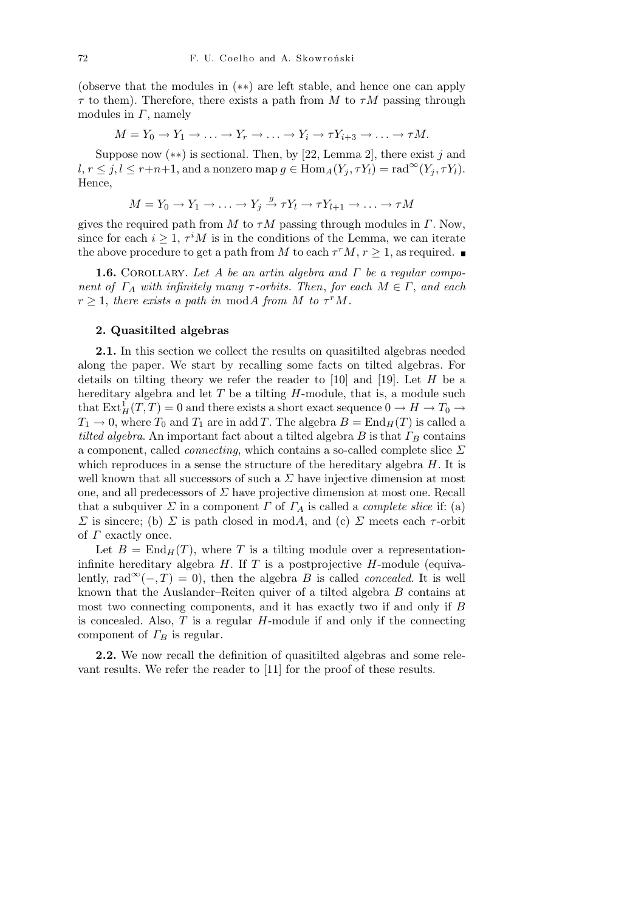(observe that the modules in (*∗∗*) are left stable, and hence one can apply  $\tau$  to them). Therefore, there exists a path from *M* to  $\tau M$  passing through modules in *Γ*, namely

$$
M = Y_0 \to Y_1 \to \dots \to Y_r \to \dots \to Y_i \to \tau Y_{i+3} \to \dots \to \tau M.
$$

Suppose now (*∗∗*) is sectional. Then, by [22, Lemma 2], there exist *j* and  $l, r \leq j, l \leq r+n+1$ , and a nonzero map  $g \in \text{Hom}_A(Y_j, \tau Y_l) = \text{rad}^{\infty}(Y_j, \tau Y_l)$ . Hence,

$$
M = Y_0 \to Y_1 \to \dots \to Y_j \xrightarrow{g} \tau Y_l \to \tau Y_{l+1} \to \dots \to \tau M
$$

gives the required path from *M* to  $\tau M$  passing through modules in *Γ*. Now, since for each  $i \geq 1$ ,  $\tau^i M$  is in the conditions of the Lemma, we can iterate the above procedure to get a path from *M* to each  $\tau^r M$ ,  $r \geq 1$ , as required.

**1.6.** COROLLARY. Let *A* be an artin algebra and *Γ* be a regular compo*nent of*  $\Gamma_A$  *with infinitely many*  $\tau$ -*orbits. Then, for each*  $M \in \Gamma$ *, and each*  $r \geq 1$ , *there exists a path in* mod*A from M to*  $\tau^r M$ *.* 

## **2. Quasitilted algebras**

**2.1.** In this section we collect the results on quasitilted algebras needed along the paper. We start by recalling some facts on tilted algebras. For details on tilting theory we refer the reader to [10] and [19]. Let *H* be a hereditary algebra and let *T* be a tilting *H*-module, that is, a module such that  $\mathrm{Ext}^1_H(T,T) = 0$  and there exists a short exact sequence  $0 \to H \to T_0 \to$  $T_1 \rightarrow 0$ , where  $T_0$  and  $T_1$  are in add *T*. The algebra  $B = \text{End}_H(T)$  is called a *tilted algebra*. An important fact about a tilted algebra  $B$  is that  $\Gamma_B$  contains a component, called *connecting*, which contains a so-called complete slice *Σ* which reproduces in a sense the structure of the hereditary algebra *H*. It is well known that all successors of such a  $\Sigma$  have injective dimension at most one, and all predecessors of *Σ* have projective dimension at most one. Recall that a subquiver  $\Sigma$  in a component  $\Gamma$  of  $\Gamma_A$  is called a *complete slice* if: (a) *Σ* is sincere; (b) *Σ* is path closed in mod*A*, and (c) *Σ* meets each *τ*-orbit of *Γ* exactly once.

Let  $B = \text{End}_{H}(T)$ , where T is a tilting module over a representationinfinite hereditary algebra *H*. If *T* is a postprojective *H*-module (equivalently, rad<sup>∞</sup>(−*,T*) = 0), then the algebra *B* is called *concealed*. It is well known that the Auslander–Reiten quiver of a tilted algebra *B* contains at most two connecting components, and it has exactly two if and only if *B* is concealed. Also, *T* is a regular *H*-module if and only if the connecting component of *Γ<sup>B</sup>* is regular.

**2.2.** We now recall the definition of quasitilted algebras and some relevant results. We refer the reader to [11] for the proof of these results.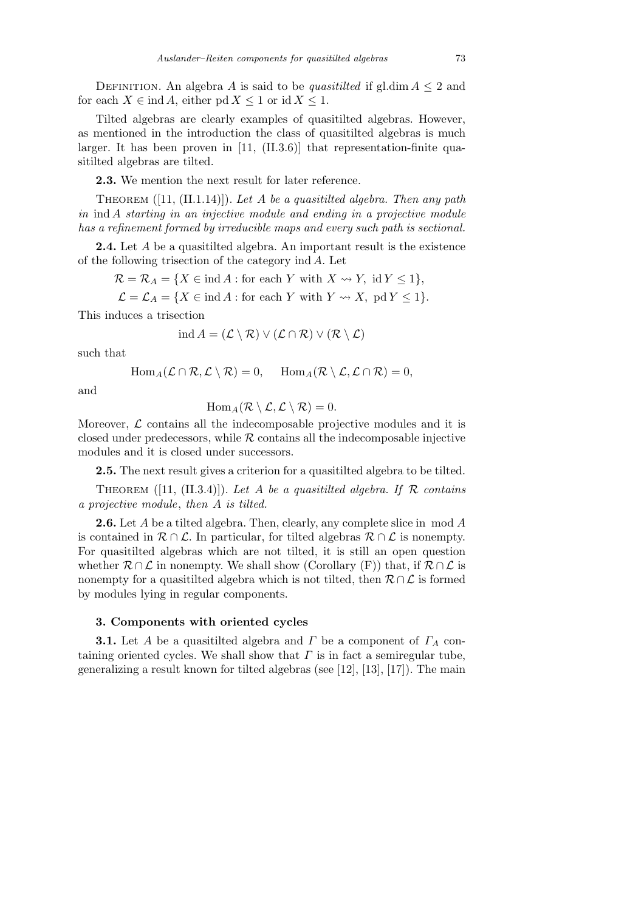DEFINITION. An algebra *A* is said to be *quasitilted* if gl.dim  $A \leq 2$  and for each  $X \in \text{ind } A$ , either pd  $X \leq 1$  or id  $X \leq 1$ .

Tilted algebras are clearly examples of quasitilted algebras. However, as mentioned in the introduction the class of quasitilted algebras is much larger. It has been proven in [11, (II.3.6)] that representation-finite quasitilted algebras are tilted.

**2.3.** We mention the next result for later reference.

Theorem ([11, (II.1.14)]). *Let A be a quasitilted algebra. Then any path in* ind *A starting in an injective module and ending in a projective module has a refinement formed by irreducible maps and every such path is sectional.*

**2.4.** Let *A* be a quasitilted algebra. An important result is the existence of the following trisection of the category ind *A*. Let

 $\mathcal{R} = \mathcal{R}_A = \{X \in \text{ind } A : \text{for each } Y \text{ with } X \rightsquigarrow Y, \text{ id } Y \leq 1\},$ 

$$
\mathcal{L} = \mathcal{L}_A = \{ X \in \text{ind } A : \text{for each } Y \text{ with } Y \leadsto X, \text{ pd } Y \le 1 \}.
$$

This induces a trisection

$$
ind A = (\mathcal{L} \setminus \mathcal{R}) \vee (\mathcal{L} \cap \mathcal{R}) \vee (\mathcal{R} \setminus \mathcal{L})
$$

such that

$$
\text{Hom}_A(\mathcal{L} \cap \mathcal{R}, \mathcal{L} \setminus \mathcal{R}) = 0, \quad \text{Hom}_A(\mathcal{R} \setminus \mathcal{L}, \mathcal{L} \cap \mathcal{R}) = 0,
$$

and

$$
\operatorname{Hom}_A(\mathcal{R}\setminus\mathcal{L},\mathcal{L}\setminus\mathcal{R})=0.
$$

Moreover,  $\mathcal L$  contains all the indecomposable projective modules and it is closed under predecessors, while  $R$  contains all the indecomposable injective modules and it is closed under successors.

**2.5.** The next result gives a criterion for a quasitilted algebra to be tilted.

THEOREM  $([11, (II.3.4)])$ . Let A be a quasitilited algebra. If  $\mathcal R$  contains *a projective module*, *then A is tilted.*

**2.6.** Let *A* be a tilted algebra. Then, clearly, any complete slice in mod *A* is contained in  $\mathcal{R} \cap \mathcal{L}$ . In particular, for tilted algebras  $\mathcal{R} \cap \mathcal{L}$  is nonempty. For quasitilted algebras which are not tilted, it is still an open question whether  $\mathcal{R} \cap \mathcal{L}$  in nonempty. We shall show (Corollary (F)) that, if  $\mathcal{R} \cap \mathcal{L}$  is nonempty for a quasitilted algebra which is not tilted, then *R ∩ L* is formed by modules lying in regular components.

## **3. Components with oriented cycles**

**3.1.** Let *A* be a quasitilted algebra and *Γ* be a component of *Γ<sup>A</sup>* containing oriented cycles. We shall show that  $\Gamma$  is in fact a semiregular tube, generalizing a result known for tilted algebras (see [12], [13], [17]). The main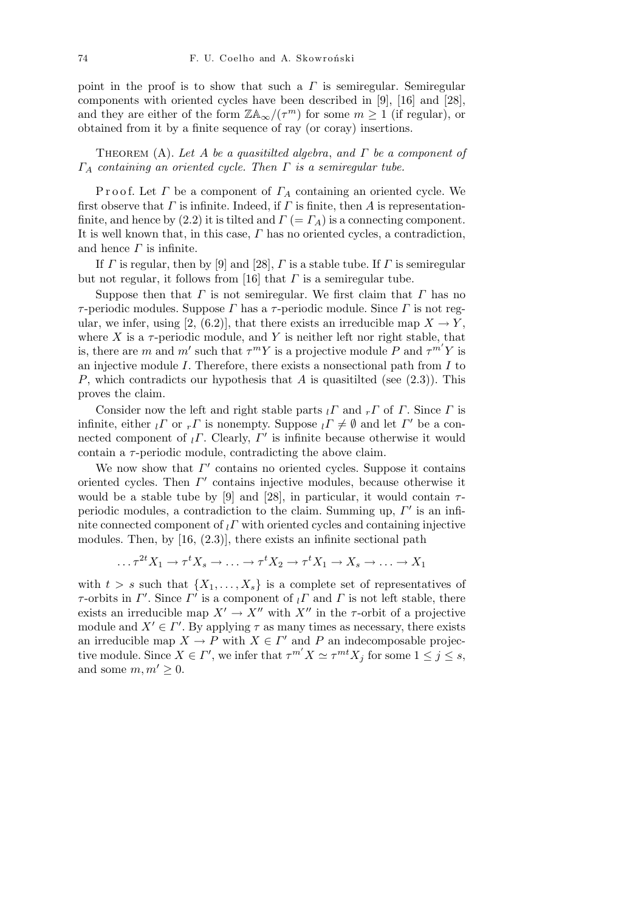point in the proof is to show that such a *Γ* is semiregular. Semiregular components with oriented cycles have been described in [9], [16] and [28], and they are either of the form  $\mathbb{Z} \mathbb{A}_{\infty}/(\tau^m)$  for some  $m \geq 1$  (if regular), or obtained from it by a finite sequence of ray (or coray) insertions.

Theorem (A). *Let A be a quasitilted algebra*, *and Γ be a component of Γ<sup>A</sup> containing an oriented cycle. Then Γ is a semiregular tube.*

P r o o f. Let *Γ* be a component of *Γ<sup>A</sup>* containing an oriented cycle. We first observe that *Γ* is infinite. Indeed, if *Γ* is finite, then *A* is representationfinite, and hence by (2.2) it is tilted and  $\Gamma$  (=  $\Gamma_A$ ) is a connecting component. It is well known that, in this case, *Γ* has no oriented cycles, a contradiction, and hence *Γ* is infinite.

If *Γ* is regular, then by [9] and [28], *Γ* is a stable tube. If *Γ* is semiregular but not regular, it follows from [16] that *Γ* is a semiregular tube.

Suppose then that *Γ* is not semiregular. We first claim that *Γ* has no *τ* -periodic modules. Suppose *Γ* has a *τ* -periodic module. Since *Γ* is not regular, we infer, using [2, (6.2)], that there exists an irreducible map  $X \to Y$ , where  $X$  is a  $\tau$ -periodic module, and  $Y$  is neither left nor right stable, that is, there are *m* and *m'* such that  $\tau^m Y$  is a projective module *P* and  $\tau^{m'} Y$  is an injective module *I*. Therefore, there exists a nonsectional path from *I* to *P*, which contradicts our hypothesis that *A* is quasitilted (see (2.3)). This proves the claim.

Consider now the left and right stable parts *<sup>l</sup>Γ* and *<sup>r</sup>Γ* of *Γ*. Since *Γ* is infinite, either  $_l \Gamma$  or  $_r \Gamma$  is nonempty. Suppose  $_l \Gamma \neq \emptyset$  and let  $\Gamma'$  be a connected component of  $_l \Gamma$ . Clearly,  $\Gamma'$  is infinite because otherwise it would contain a *τ* -periodic module, contradicting the above claim.

We now show that  $\Gamma'$  contains no oriented cycles. Suppose it contains oriented cycles. Then *Γ'* contains injective modules, because otherwise it would be a stable tube by [9] and [28], in particular, it would contain  $\tau$ periodic modules, a contradiction to the claim. Summing up,  $\Gamma'$  is an infinite connected component of  $\iota \Gamma$  with oriented cycles and containing injective modules. Then, by [16, (2.3)], there exists an infinite sectional path

$$
\dots \tau^{2t} X_1 \to \tau^t X_s \to \dots \to \tau^t X_2 \to \tau^t X_1 \to X_s \to \dots \to X_1
$$

with  $t > s$  such that  $\{X_1, \ldots, X_s\}$  is a complete set of representatives of *τ*-orbits in  $\Gamma'$ . Since  $\Gamma'$  is a component of  $\iota \Gamma$  and  $\Gamma$  is not left stable, there exists an irreducible map  $X' \to X''$  with  $X''$  in the *τ*-orbit of a projective module and  $X' \in \Gamma'$ . By applying  $\tau$  as many times as necessary, there exists an irreducible map  $X \to P$  with  $X \in \Gamma'$  and P an indecomposable projective module. Since  $X \in \Gamma'$ , we infer that  $\tau^{m'} X \simeq \tau^{mt} X_j$  for some  $1 \leq j \leq s$ , and some  $m, m' \geq 0$ .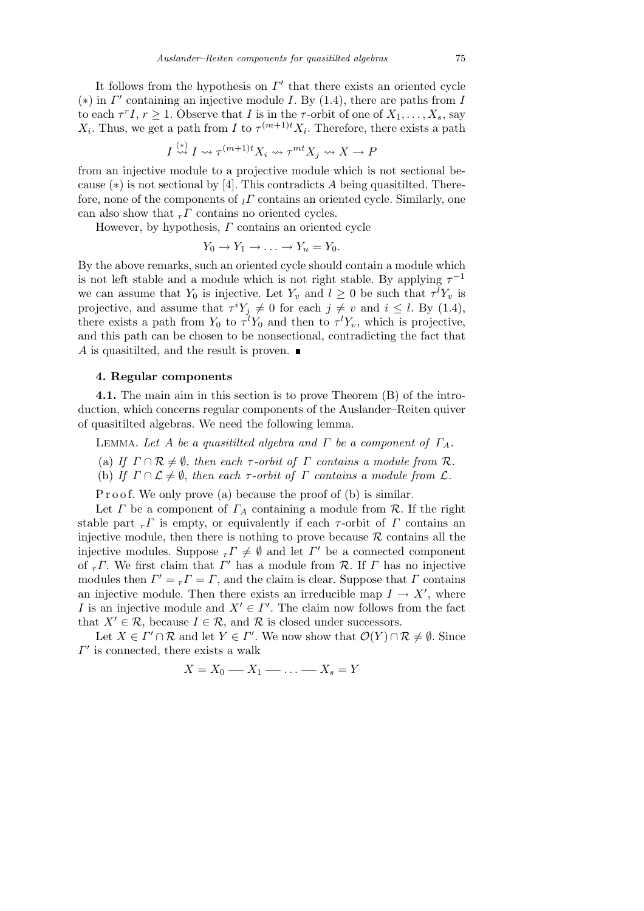It follows from the hypothesis on  $\Gamma'$  that there exists an oriented cycle (\*) in  $\Gamma'$  containing an injective module *I*. By (1.4), there are paths from *I* to each  $\tau^{r} I$ ,  $r \geq 1$ . Observe that *I* is in the  $\tau$ -orbit of one of  $X_1, \ldots, X_s$ , say *X*<sub>*i*</sub>. Thus, we get a path from *I* to  $\tau^{(m+1)t}X_i$ . Therefore, there exists a path

$$
I \stackrel{(*)}{\leadsto} I \leadsto \tau^{(m+1)t} X_i \leadsto \tau^{mt} X_j \leadsto X \to P
$$

from an injective module to a projective module which is not sectional because (*∗*) is not sectional by [4]. This contradicts *A* being quasitilted. Therefore, none of the components of *<sup>l</sup>Γ* contains an oriented cycle. Similarly, one can also show that  $r \Gamma$  contains no oriented cycles.

However, by hypothesis, *Γ* contains an oriented cycle

$$
Y_0 \to Y_1 \to \ldots \to Y_u = Y_0.
$$

By the above remarks, such an oriented cycle should contain a module which is not left stable and a module which is not right stable. By applying  $\tau^{-1}$ we can assume that  $Y_0$  is injective. Let  $Y_v$  and  $l \geq 0$  be such that  $\tau^l Y_v$  is projective, and assume that  $\tau^{i}Y_{j} \neq 0$  for each  $j \neq v$  and  $i \leq l$ . By (1.4), there exists a path from  $Y_0$  to  $\tau^l Y_0$  and then to  $\tau^l Y_v$ , which is projective, and this path can be chosen to be nonsectional, contradicting the fact that *A* is quasitilted, and the result is proven. ■

## **4. Regular components**

**4.1.** The main aim in this section is to prove Theorem (B) of the introduction, which concerns regular components of the Auslander–Reiten quiver of quasitilted algebras. We need the following lemma.

LEMMA. Let *A* be a quasitilted algebra and  $\Gamma$  be a component of  $\Gamma_A$ .

- (a) *If*  $\Gamma \cap \mathcal{R} \neq \emptyset$ , *then each*  $\tau$ -orbit of  $\Gamma$  *contains a module from*  $\mathcal{R}$ *.*
- (b) *If*  $\Gamma \cap \mathcal{L} \neq \emptyset$ , *then each*  $\tau$ -*orbit of*  $\Gamma$  *contains a module from*  $\mathcal{L}$ *.*

P r o o f. We only prove (a) because the proof of (b) is similar.

Let *Γ* be a component of  $\Gamma_A$  containing a module from  $\mathcal R$ . If the right stable part  $r \Gamma$  is empty, or equivalently if each  $\tau$ -orbit of  $\Gamma$  contains an injective module, then there is nothing to prove because  $R$  contains all the injective modules. Suppose  $r \to \emptyset$  and let  $\Gamma'$  be a connected component of  $r \Gamma$ . We first claim that  $\Gamma'$  has a module from  $\mathcal R$ . If  $\Gamma$  has no injective modules then  $\Gamma' = rI = \Gamma$ , and the claim is clear. Suppose that  $\Gamma$  contains an injective module. Then there exists an irreducible map  $I \rightarrow X'$ , where *I* is an injective module and  $X' \in \Gamma'$ . The claim now follows from the fact that  $X' \in \mathcal{R}$ , because  $I \in \mathcal{R}$ , and  $\mathcal{R}$  is closed under successors.

Let  $X \in \Gamma' \cap \mathcal{R}$  and let  $Y \in \Gamma'$ . We now show that  $\mathcal{O}(Y) \cap \mathcal{R} \neq \emptyset$ . Since  $\Gamma'$  is connected, there exists a walk

$$
X = X_0 \quad X_1 \quad \ldots \quad X_s = Y
$$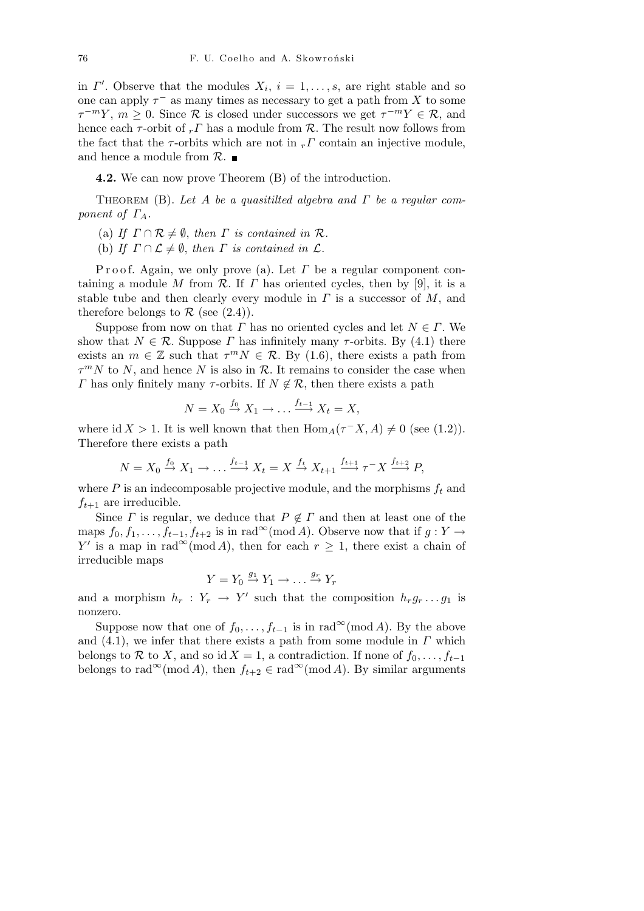in *Γ'*. Observe that the modules  $X_i$ ,  $i = 1, \ldots, s$ , are right stable and so one can apply  $\tau^-$  as many times as necessary to get a path from X to some  $\tau^{-m}Y, m \geq 0$ . Since  $\mathcal{R}$  is closed under successors we get  $\tau^{-m}Y \in \mathcal{R}$ , and hence each  $\tau$ -orbit of  $rT$  has a module from  $\mathcal{R}$ . The result now follows from the fact that the  $\tau$ -orbits which are not in  $_r \Gamma$  contain an injective module, and hence a module from *R*.

**4.2.** We can now prove Theorem (B) of the introduction.

Theorem (B). *Let A be a quasitilted algebra and Γ be a regular component of ΓA.*

- (a) *If*  $\Gamma \cap \mathcal{R} \neq \emptyset$ , *then*  $\Gamma$  *is contained in*  $\mathcal{R}$ *.*
- (b) *If*  $\Gamma \cap \mathcal{L} \neq \emptyset$ , *then*  $\Gamma$  *is contained in*  $\mathcal{L}$ *.*

P r o o f. Again, we only prove (a). Let *Γ* be a regular component containing a module *M* from  $\mathcal{R}$ . If  $\Gamma$  has oriented cycles, then by [9], it is a stable tube and then clearly every module in *Γ* is a successor of *M*, and therefore belongs to  $\mathcal R$  (see (2.4)).

Suppose from now on that *Γ* has no oriented cycles and let  $N \in \Gamma$ . We show that  $N \in \mathcal{R}$ . Suppose  $\Gamma$  has infinitely many  $\tau$ -orbits. By (4.1) there exists an  $m \in \mathbb{Z}$  such that  $\tau^m N \in \mathcal{R}$ . By (1.6), there exists a path from  $\tau^m N$  to *N*, and hence *N* is also in *R*. It remains to consider the case when *Γ* has only finitely many *τ*-orbits. If  $N \notin \mathcal{R}$ , then there exists a path

$$
N = X_0 \stackrel{f_0}{\rightarrow} X_1 \rightarrow \ldots \stackrel{f_{t-1}}{\longrightarrow} X_t = X,
$$

where id *X* > 1. It is well known that then  $\text{Hom}_A(\tau^- X, A) \neq 0$  (see (1.2)). Therefore there exists a path

$$
N = X_0 \stackrel{f_0}{\rightarrow} X_1 \rightarrow \dots \stackrel{f_{t-1}}{\rightarrow} X_t = X \stackrel{f_t}{\rightarrow} X_{t+1} \stackrel{f_{t+1}}{\rightarrow} \tau^- X \stackrel{f_{t+2}}{\rightarrow} P,
$$

where  $P$  is an indecomposable projective module, and the morphisms  $f_t$  and  $f_{t+1}$  are irreducible.

Since *Γ* is regular, we deduce that  $P \notin \Gamma$  and then at least one of the maps  $f_0, f_1, \ldots, f_{t-1}, f_{t+2}$  is in rad<sup>∞</sup>(mod *A*). Observe now that if  $g: Y \to Y$ *Y*<sup>*'*</sup> is a map in rad<sup>∞</sup>(mod *A*), then for each  $r \geq 1$ , there exist a chain of irreducible maps

$$
Y = Y_0 \stackrel{g_1}{\rightarrow} Y_1 \rightarrow \dots \stackrel{g_r}{\rightarrow} Y_r
$$

and a morphism  $h_r: Y_r \to Y'$  such that the composition  $h_r g_r \dots g_1$  is nonzero.

Suppose now that one of  $f_0, \ldots, f_{t-1}$  is in rad $\infty$ (mod *A*). By the above and (4.1), we infer that there exists a path from some module in *Γ* which belongs to *R* to *X*, and so id *X* = 1, a contradiction. If none of  $f_0, \ldots, f_{t-1}$ belongs to rad<sup>∞</sup>(mod *A*), then  $f_{t+2} \in \text{rad}^{\infty}(\text{mod }A)$ . By similar arguments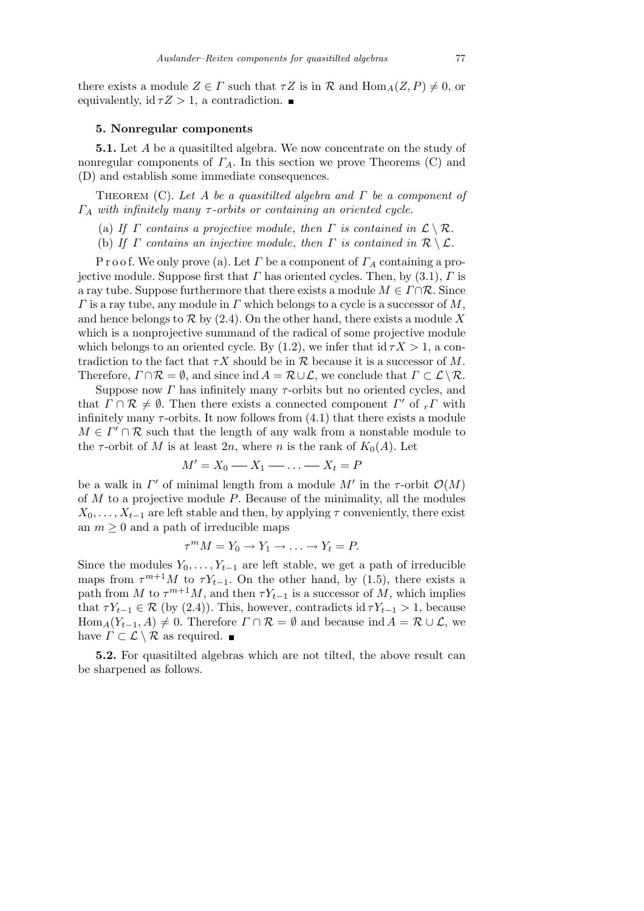there exists a module  $Z \in \Gamma$  such that  $\tau Z$  is in  $\mathcal R$  and  $\text{Hom}_A(Z, P) \neq 0$ , or equivalently, id  $\tau Z > 1$ , a contradiction.

### **5. Nonregular components**

**5.1.** Let *A* be a quasitilted algebra. We now concentrate on the study of nonregular components of *ΓA*. In this section we prove Theorems (C) and (D) and establish some immediate consequences.

Theorem (C). *Let A be a quasitilted algebra and Γ be a component of Γ<sup>A</sup> with infinitely many τ -orbits or containing an oriented cycle.*

(a) *If Γ contains a projective module, then Γ is contained in*  $\mathcal{L} \setminus \mathcal{R}$ *.* 

(b) *If*  $\Gamma$  *contains an injective module, then*  $\Gamma$  *is contained in*  $\mathcal{R} \setminus \mathcal{L}$ *.* 

P r o o f. We only prove (a). Let *Γ* be a component of *Γ<sup>A</sup>* containing a projective module. Suppose first that  $\Gamma$  has oriented cycles. Then, by (3.1),  $\Gamma$  is a ray tube. Suppose furthermore that there exists a module  $M \in \Gamma \cap \mathcal{R}$ . Since *Γ* is a ray tube, any module in *Γ* which belongs to a cycle is a successor of *M*, and hence belongs to  $R$  by  $(2.4)$ . On the other hand, there exists a module X which is a nonprojective summand of the radical of some projective module which belongs to an oriented cycle. By  $(1.2)$ , we infer that id  $\tau X > 1$ , a contradiction to the fact that  $\tau X$  should be in  $\mathcal R$  because it is a successor of  $M$ . Therefore,  $\Gamma \cap \mathcal{R} = \emptyset$ , and since ind  $A = \mathcal{R} \cup \mathcal{L}$ , we conclude that  $\Gamma \subset \mathcal{L} \setminus \mathcal{R}$ .

Suppose now *Γ* has infinitely many *τ* -orbits but no oriented cycles, and that  $\Gamma \cap \mathcal{R} \neq \emptyset$ . Then there exists a connected component  $\Gamma'$  of  $_r\Gamma$  with infinitely many  $\tau$ -orbits. It now follows from  $(4.1)$  that there exists a module  $M \in \Gamma' \cap \mathcal{R}$  such that the length of any walk from a nonstable module to the  $\tau$ -orbit of *M* is at least 2*n*, where *n* is the rank of  $K_0(A)$ . Let

$$
M'=X_0\longrightarrow X_1\longrightarrow\ldots\longrightarrow X_t=P
$$

be a walk in  $\Gamma'$  of minimal length from a module  $M'$  in the *τ*-orbit  $\mathcal{O}(M)$ of *M* to a projective module *P*. Because of the minimality, all the modules  $X_0, \ldots, X_{t-1}$  are left stable and then, by applying  $\tau$  conveniently, there exist an  $m \geq 0$  and a path of irreducible maps

$$
\tau^m M = Y_0 \to Y_1 \to \ldots \to Y_t = P.
$$

Since the modules  $Y_0, \ldots, Y_{t-1}$  are left stable, we get a path of irreducible maps from  $\tau^{m+1}M$  to  $\tau Y_{t-1}$ . On the other hand, by (1.5), there exists a path from *M* to  $\tau^{m+1}M$ , and then  $\tau Y_{t-1}$  is a successor of *M*, which implies that  $\tau Y_{t-1} \in \mathcal{R}$  (by (2.4)). This, however, contradicts id  $\tau Y_{t-1} > 1$ , because Hom<sub>*A*</sub>( $Y_{t-1}$ , *A*)  $\neq$  0. Therefore  $\Gamma \cap \mathcal{R} = \emptyset$  and because ind  $A = \mathcal{R} \cup \mathcal{L}$ , we have  $\Gamma \subset \mathcal{L} \setminus \mathcal{R}$  as required.  $\blacksquare$ 

**5.2.** For quasitilted algebras which are not tilted, the above result can be sharpened as follows.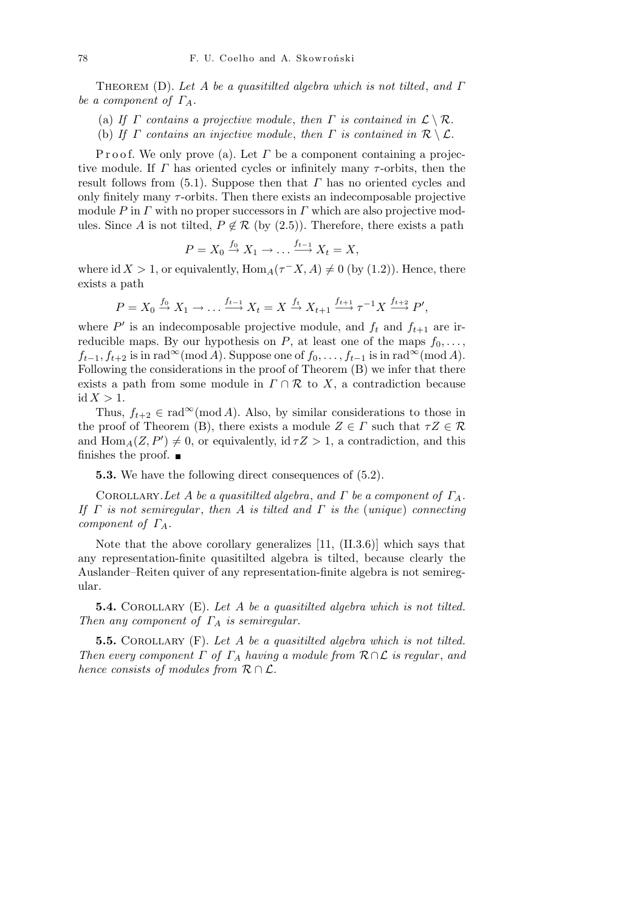Theorem (D). *Let A be a quasitilted algebra which is not tilted*, *and Γ be a component of ΓA.*

- (a) *If*  $\Gamma$  *contains a projective module, then*  $\Gamma$  *is contained in*  $\mathcal{L} \setminus \mathcal{R}$ *.*
- (b) *If*  $\Gamma$  *contains an injective module, then*  $\Gamma$  *is contained in*  $\mathcal{R} \setminus \mathcal{L}$ *.*

P r o o f. We only prove (a). Let *Γ* be a component containing a projective module. If *Γ* has oriented cycles or infinitely many *τ* -orbits, then the result follows from (5.1). Suppose then that *Γ* has no oriented cycles and only finitely many *τ* -orbits. Then there exists an indecomposable projective module *P* in *Γ* with no proper successors in *Γ* which are also projective modules. Since *A* is not tilted,  $P \notin \mathcal{R}$  (by (2.5)). Therefore, there exists a path

$$
P = X_0 \stackrel{f_0}{\rightarrow} X_1 \rightarrow \ldots \stackrel{f_{t-1}}{\longrightarrow} X_t = X,
$$

where id *X* > 1, or equivalently,  $\text{Hom}_A(\tau^- X, A) \neq 0$  (by (1.2)). Hence, there exists a path

$$
P = X_0 \xrightarrow{f_0} X_1 \to \dots \xrightarrow{f_{t-1}} X_t = X \xrightarrow{f_t} X_{t+1} \xrightarrow{f_{t+1}} \tau^{-1} X \xrightarrow{f_{t+2}} P',
$$

where  $P'$  is an indecomposable projective module, and  $f_t$  and  $f_{t+1}$  are irreducible maps. By our hypothesis on  $P$ , at least one of the maps  $f_0, \ldots$ ,  $f_{t-1}, f_{t+2}$  is in rad<sup>∞</sup>(mod *A*). Suppose one of  $f_0, \ldots, f_{t-1}$  is in rad<sup>∞</sup>(mod *A*). Following the considerations in the proof of Theorem (B) we infer that there exists a path from some module in  $\Gamma \cap \mathcal{R}$  to *X*, a contradiction because  $id X > 1.$ 

Thus,  $f_{t+2} \in \text{rad}^{\infty}(\text{mod }A)$ . Also, by similar considerations to those in the proof of Theorem (B), there exists a module  $Z \in \Gamma$  such that  $\tau Z \in \mathcal{R}$ and  $\text{Hom}_{A}(Z, P') \neq 0$ , or equivalently, id  $\tau Z > 1$ , a contradiction, and this finishes the proof.  $\blacksquare$ 

**5.3.** We have the following direct consequences of (5.2).

COROLLARY. Let  $A$  be a quasitilted algebra, and  $\Gamma$  be a component of  $\Gamma_A$ . *If Γ is not semiregular* , *then A is tilted and Γ is the* (*unique*) *connecting component of ΓA.*

Note that the above corollary generalizes [11, (II.3.6)] which says that any representation-finite quasitilted algebra is tilted, because clearly the Auslander–Reiten quiver of any representation-finite algebra is not semiregular.

**5.4.** Corollary (E). *Let A be a quasitilted algebra which is not tilted. Then any component of Γ<sup>A</sup> is semiregular.*

**5.5.** COROLLARY (F). Let A be a quasitilted algebra which is not tilted. *Then every component Γ of Γ<sup>A</sup> having a module from R∩L is regular* , *and hence consists of modules from R ∩ L.*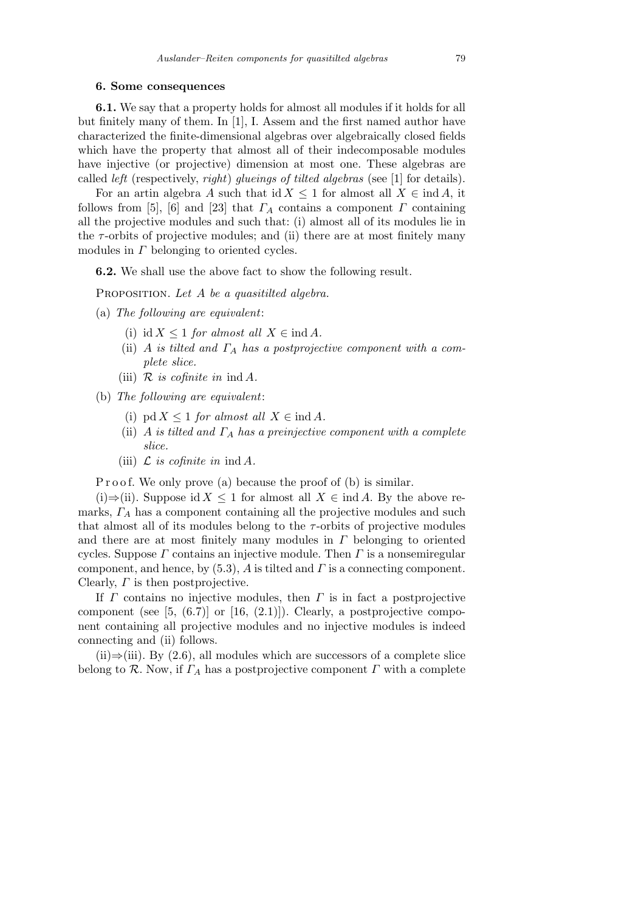#### **6. Some consequences**

**6.1.** We say that a property holds for almost all modules if it holds for all but finitely many of them. In [1], I. Assem and the first named author have characterized the finite-dimensional algebras over algebraically closed fields which have the property that almost all of their indecomposable modules have injective (or projective) dimension at most one. These algebras are called *left* (respectively, *right*) *glueings of tilted algebras* (see [1] for details).

For an artin algebra *A* such that id  $X \leq 1$  for almost all  $X \in \text{ind } A$ , it follows from [5], [6] and [23] that  $\Gamma_A$  contains a component  $\Gamma$  containing all the projective modules and such that: (i) almost all of its modules lie in the  $\tau$ -orbits of projective modules; and (ii) there are at most finitely many modules in *Γ* belonging to oriented cycles.

**6.2.** We shall use the above fact to show the following result.

Proposition. *Let A be a quasitilted algebra.*

- (a) *The following are equivalent*:
	- (i) id  $X \leq 1$  *for almost all*  $X \in \text{ind } A$ *.*
	- (ii) *A is tilted and Γ<sup>A</sup> has a postprojective component with a complete slice.*
	- (iii)  $\mathcal{R}$  *is cofinite in* ind  $\mathcal{A}$ *.*
- (b) *The following are equivalent*:
	- (i)  $\text{pd } X \leq 1$  *for almost all*  $X \in \text{ind } A$ *.*
	- (ii) *A is tilted and Γ<sup>A</sup> has a preinjective component with a complete slice.*
	- (iii)  $\mathcal{L}$  *is cofinite in* ind  $\mathcal{A}$ *.*

P r o o f. We only prove (a) because the proof of (b) is similar.

(i)*⇒*(ii). Suppose id *X ≤* 1 for almost all *X ∈* ind *A*. By the above remarks,  $\Gamma_A$  has a component containing all the projective modules and such that almost all of its modules belong to the  $\tau$ -orbits of projective modules and there are at most finitely many modules in *Γ* belonging to oriented cycles. Suppose *Γ* contains an injective module. Then *Γ* is a nonsemiregular component, and hence, by (5.3), *A* is tilted and *Γ* is a connecting component. Clearly, *Γ* is then postprojective.

If *Γ* contains no injective modules, then *Γ* is in fact a postprojective component (see  $[5, (6.7)]$  or  $[16, (2.1)]$ ). Clearly, a postprojective component containing all projective modules and no injective modules is indeed connecting and (ii) follows.

(ii)*⇒*(iii). By (2.6), all modules which are successors of a complete slice belong to  $\mathcal{R}$ . Now, if  $\Gamma_A$  has a postprojective component  $\Gamma$  with a complete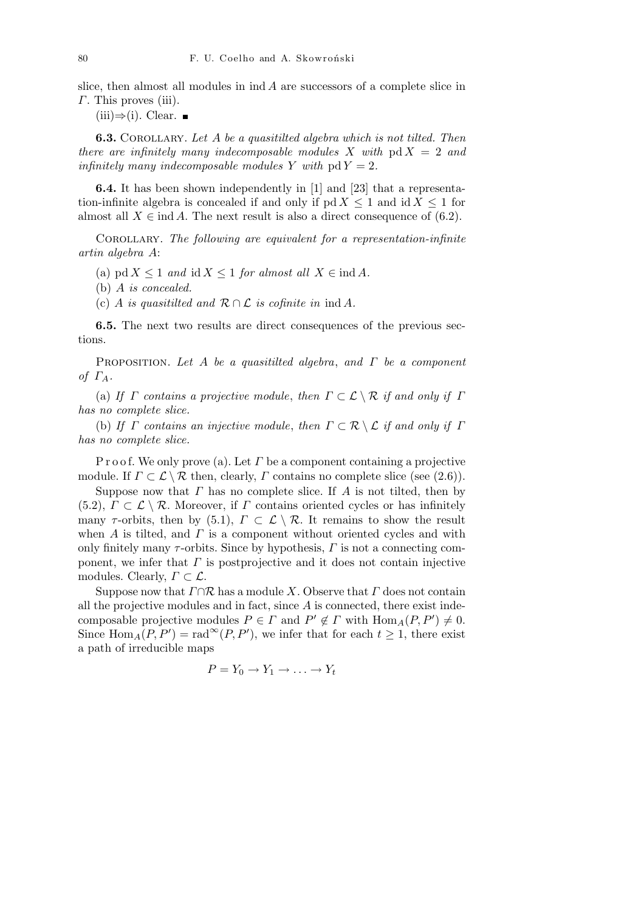slice, then almost all modules in ind *A* are successors of a complete slice in *Γ*. This proves (iii).

 $(iii)$  $\Rightarrow$  $(i).$  Clear. ■

**6.3.** Corollary. *Let A be a quasitilted algebra which is not tilted. Then there are infinitely many indecomposable modules* X with  $pd X = 2$  and *infinitely many indecomposable modules Y with*  $pd Y = 2$ *.* 

**6.4.** It has been shown independently in [1] and [23] that a representation-infinite algebra is concealed if and only if  $p \, d \, X \leq 1$  and  $i \, d \, X \leq 1$  for almost all  $X \in \text{ind } A$ . The next result is also a direct consequence of (6.2).

Corollary. *The following are equivalent for a representation-infinite artin algebra A*:

(a)  $\text{pd } X \leq 1$  *and*  $\text{id } X \leq 1$  *for almost all*  $X \in \text{ind } A$ *.* 

(b) *A is concealed.*

(c) *A is quasitilted and R ∩ L is cofinite in* ind *A.*

**6.5.** The next two results are direct consequences of the previous sections.

Proposition. *Let A be a quasitilted algebra*, *and Γ be a component of ΓA.*

(a) *If Γ contains a projective module, then*  $\Gamma \subset \mathcal{L} \setminus \mathcal{R}$  *if and only if*  $\Gamma$ *has no complete slice.*

(b) *If Γ contains an injective module, then*  $\Gamma \subset \mathcal{R} \setminus \mathcal{L}$  *if and only if*  $\Gamma$ *has no complete slice.*

P r o o f. We only prove (a). Let *Γ* be a component containing a projective module. If  $\Gamma \subset \mathcal{L} \setminus \mathcal{R}$  then, clearly,  $\Gamma$  contains no complete slice (see (2.6)).

Suppose now that *Γ* has no complete slice. If *A* is not tilted, then by (5.2),  $\Gamma \subset \mathcal{L} \setminus \mathcal{R}$ . Moreover, if  $\Gamma$  contains oriented cycles or has infinitely many *τ*-orbits, then by (5.1),  $\Gamma \subset \mathcal{L} \setminus \mathcal{R}$ . It remains to show the result when *A* is tilted, and *Γ* is a component without oriented cycles and with only finitely many  $\tau$ -orbits. Since by hypothesis,  $\Gamma$  is not a connecting component, we infer that *Γ* is postprojective and it does not contain injective modules. Clearly,  $\Gamma \subset \mathcal{L}$ .

Suppose now that *Γ∩R* has a module *X*. Observe that *Γ* does not contain all the projective modules and in fact, since *A* is connected, there exist indecomposable projective modules  $P \in \Gamma$  and  $P' \notin \Gamma$  with  $\text{Hom}_A(P, P') \neq 0$ . Since  $Hom_A(P, P') = rad^{\infty}(P, P')$ , we infer that for each  $t \geq 1$ , there exist a path of irreducible maps

$$
P = Y_0 \to Y_1 \to \ldots \to Y_t
$$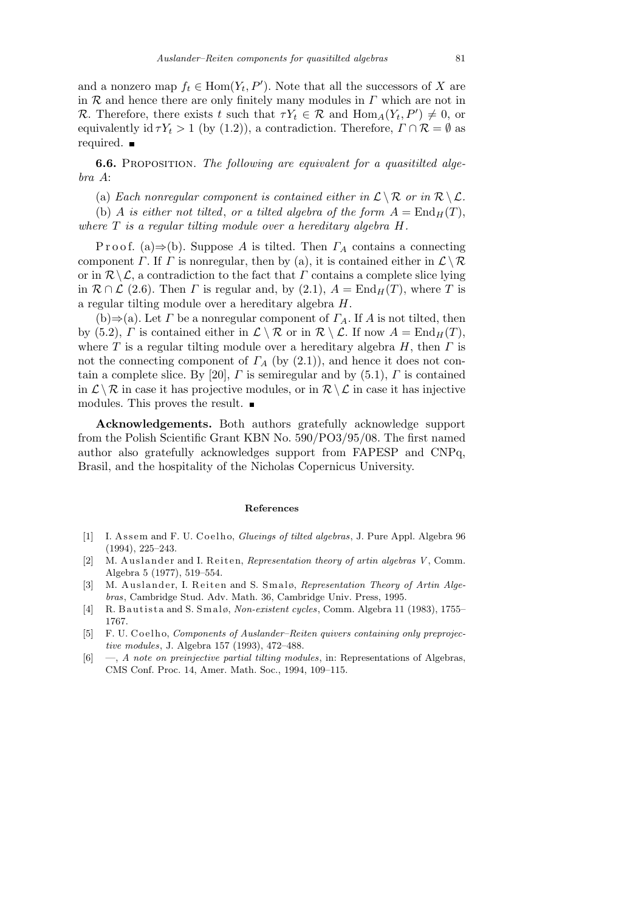and a nonzero map  $f_t \in \text{Hom}(Y_t, P')$ . Note that all the successors of *X* are in *R* and hence there are only finitely many modules in *Γ* which are not in *R*. Therefore, there exists *t* such that  $\tau Y_t \in \mathcal{R}$  and  $\text{Hom}_A(Y_t, P') \neq 0$ , or equivalently id  $\tau Y_t > 1$  (by (1.2)), a contradiction. Therefore,  $\Gamma \cap \mathcal{R} = \emptyset$  as required.

**6.6.** Proposition. *The following are equivalent for a quasitilted algebra A*:

(a) *Each nonregular component is contained either in*  $\mathcal{L} \setminus \mathcal{R}$  *or in*  $\mathcal{R} \setminus \mathcal{L}$ *.* 

(b) *A is either not tilted, or a tilted algebra of the form*  $A = \text{End}_H(T)$ , *where T is a regular tilting module over a hereditary algebra H.*

P r o o f. (a)*⇒*(b). Suppose *A* is tilted. Then *Γ<sup>A</sup>* contains a connecting component *Γ*. If *Γ* is nonregular, then by (a), it is contained either in  $\mathcal{L} \setminus \mathcal{R}$ or in  $\mathcal{R} \backslash \mathcal{L}$ , a contradiction to the fact that *Γ* contains a complete slice lying in  $\mathcal{R} \cap \mathcal{L}$  (2.6). Then *Γ* is regular and, by (2.1),  $A = \text{End}_{H}(T)$ , where *T* is a regular tilting module over a hereditary algebra *H*.

 $(b) \Rightarrow (a)$ . Let *Γ* be a nonregular component of *Γ*<sub>*A*</sub>. If *A* is not tilted, then by (5.2), *Γ* is contained either in  $\mathcal{L} \setminus \mathcal{R}$  or in  $\mathcal{R} \setminus \mathcal{L}$ . If now  $A = \text{End}_{H}(T)$ , where *T* is a regular tilting module over a hereditary algebra *H*, then *Γ* is not the connecting component of  $\Gamma_A$  (by (2.1)), and hence it does not contain a complete slice. By [20],  $\Gamma$  is semiregular and by (5.1),  $\Gamma$  is contained in  $\mathcal{L} \setminus \mathcal{R}$  in case it has projective modules, or in  $\mathcal{R} \setminus \mathcal{L}$  in case it has injective modules. This proves the result.

**Acknowledgements.** Both authors gratefully acknowledge support from the Polish Scientific Grant KBN No. 590/PO3/95/08. The first named author also gratefully acknowledges support from FAPESP and CNPq, Brasil, and the hospitality of the Nicholas Copernicus University.

#### **References**

- [1] I. A s s em and F. U. C o el h o, *Glueings of tilted algebras*, J. Pure Appl. Algebra 96 (1994), 225–243.
- [2] M. Auslander and I. Reiten, *Representation theory of artin algebras V*, Comm. Algebra 5 (1977), 519–554.
- [3] M. Auslander, I. Reiten and S. Smalø, *Representation Theory of Artin Algebras*, Cambridge Stud. Adv. Math. 36, Cambridge Univ. Press, 1995.
- [4] R. B a utista and S. Smalø, *Non-existent cycles*, Comm. Algebra 11 (1983), 1755– 1767.
- [5] F. U. Coelho, *Components of Auslander–Reiten quivers containing only preprojective modules*, J. Algebra 157 (1993), 472–488.
- [6] —, *A note on preinjective partial tilting modules*, in: Representations of Algebras, CMS Conf. Proc. 14, Amer. Math. Soc., 1994, 109–115.